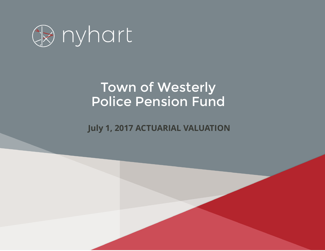

# Town of Westerly Police Pension Fund

*Employees' Retirement Plan* **July 1, 2017 ACTUARIAL VALUATION**

*January 1, 2017*

*Actuarial Valuation Report*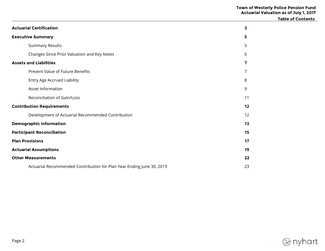|                                                                       |    | <b>Table of Contents</b> |
|-----------------------------------------------------------------------|----|--------------------------|
| <b>Actuarial Certification</b>                                        | 3  |                          |
| <b>Executive Summary</b>                                              | 5  |                          |
| <b>Summary Results</b>                                                | 5  |                          |
| Changes Since Prior Valuation and Key Notes                           | 6  |                          |
| <b>Assets and Liabilities</b>                                         | 7  |                          |
| Present Value of Future Benefits                                      | 7  |                          |
| <b>Entry Age Accrued Liability</b>                                    | 8  |                          |
| Asset Information                                                     | 9  |                          |
| Reconciliation of Gain/Loss                                           | 11 |                          |
| <b>Contribution Requirements</b>                                      | 12 |                          |
| Development of Actuarial Recommended Contribution                     | 12 |                          |
| <b>Demographic Information</b>                                        | 13 |                          |
| <b>Participant Reconciliation</b>                                     | 15 |                          |
| <b>Plan Provisions</b>                                                | 17 |                          |
| <b>Actuarial Assumptions</b>                                          | 19 |                          |
| <b>Other Measurements</b>                                             | 22 |                          |
| Actuarial Recommended Contribution for Plan Year Ending June 30, 2019 | 23 |                          |

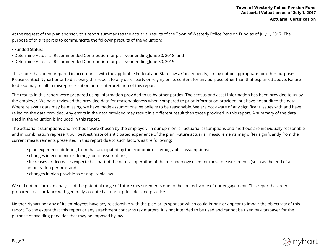At the request of the plan sponsor, this report summarizes the actuarial results of the Town of Westerly Police Pension Fund as of July 1, 2017. The purpose of this report is to communicate the following results of the valuation:

- Funded Status;
- Determine Actuarial Recommended Contribution for plan year ending June 30, 2018; and
- Determine Actuarial Recommended Contribution for plan year ending June 30, 2019.

This report has been prepared in accordance with the applicable Federal and State laws. Consequently, it may not be appropriate for other purposes. Please contact Nyhart prior to disclosing this report to any other party or relying on its content for any purpose other than that explained above. Failure to do so may result in misrepresentation or misinterpretation of this report.

The results in this report were prepared using information provided to us by other parties. The census and asset information has been provided to us by the employer. We have reviewed the provided data for reasonableness when compared to prior information provided, but have not audited the data. Where relevant data may be missing, we have made assumptions we believe to be reasonable. We are not aware of any significant issues with and have relied on the data provided. Any errors in the data provided may result in a different result than those provided in this report. A summary of the data used in the valuation is included in this report.

The actuarial assumptions and methods were chosen by the employer. In our opinion, all actuarial assumptions and methods are individually reasonable and in combination represent our best estimate of anticipated experience of the plan. Future actuarial measurements may differ significantly from the current measurements presented in this report due to such factors as the following:

- plan experience differing from that anticipated by the economic or demographic assumptions;
- changes in economic or demographic assumptions;
- increases or decreases expected as part of the natural operation of the methodology used for these measurements (such as the end of an amortization period); and
- changes in plan provisions or applicable law.

We did not perform an analysis of the potential range of future measurements due to the limited scope of our engagement. This report has been prepared in accordance with generally accepted actuarial principles and practice.

Neither Nyhart nor any of its employees have any relationship with the plan or its sponsor which could impair or appear to impair the objectivity of this report. To the extent that this report or any attachment concerns tax matters, it is not intended to be used and cannot be used by a taxpayer for the purpose of avoiding penalties that may be imposed by law.

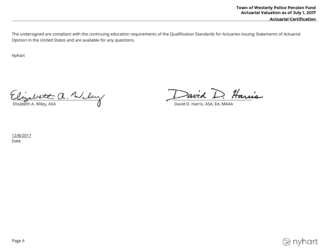**Actuarial Certification**

The undersigned are compliant with the continuing education requirements of the Qualification Standards for Actuaries Issuing Statements of Actuarial Opinion in the United States and are available for any questions.

Nyhart

\_\_\_\_\_\_\_\_\_\_\_\_\_\_\_\_\_\_\_\_\_\_\_\_\_\_\_\_\_\_\_\_\_\_\_\_\_\_\_\_\_\_\_\_\_\_\_\_ \_\_\_\_\_\_\_\_\_\_\_\_\_\_\_\_\_\_\_\_\_\_\_\_\_\_\_\_\_\_\_\_\_\_\_\_\_\_\_\_\_\_\_ Elizabeth A. Wiley, ASA David D. Harris, ASA, EA, MAAA

12/8/2017 Date

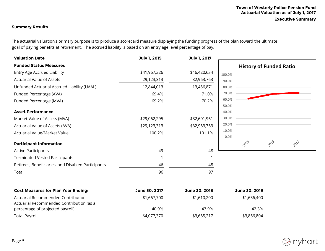**Executive Summary** 

# **Summary Results**

The actuarial valuation's primary purpose is to produce a scorecard measure displaying the funding progress of the plan toward the ultimate goal of paying benefits at retirement. The accrued liability is based on an entry age level percentage of pay.

|              |              |        |                                 | <b>History of Funded Ratio</b> |      |
|--------------|--------------|--------|---------------------------------|--------------------------------|------|
|              |              |        |                                 |                                |      |
| \$41,967,326 | \$46,420,634 | 100.0% |                                 |                                |      |
| 29,123,313   | 32,963,763   | 90.0%  |                                 |                                |      |
| 12,844,013   | 13,456,871   | 80.0%  |                                 |                                |      |
| 69.4%        | 71.0%        | 70.0%  |                                 |                                |      |
| 69.2%        | 70.2%        | 60.0%  |                                 |                                |      |
|              |              |        |                                 |                                |      |
|              |              |        |                                 |                                |      |
| \$29,062,295 | \$32,601,961 | 30.0%  |                                 |                                |      |
| \$29,123,313 | \$32,963,763 | 20.0%  |                                 |                                |      |
| 100.2%       | 101.1%       |        |                                 |                                |      |
|              |              |        |                                 |                                | 2017 |
| 49           | 48           |        |                                 |                                |      |
|              |              |        |                                 |                                |      |
| 46           | 48           |        |                                 |                                |      |
| 96           | 97           |        |                                 |                                |      |
|              |              |        | 50.0%<br>40.0%<br>10.0%<br>0.0% | 2013                           | 2015 |

| <b>Cost Measures for Plan Year Ending:</b> | June 30, 2017 | June 30, 2018 | June 30, 2019 |
|--------------------------------------------|---------------|---------------|---------------|
| Actuarial Recommended Contribution         | \$1,667,700   | \$1,610,200   | \$1,636,400   |
| Actuarial Recommended Contribution (as a   |               |               |               |
| percentage of projected payroll)           | 40.9%         | 43.9%         | 42.3%         |
| Total Payroll                              | \$4,077,370   | \$3,665,217   | \$3,866,804   |

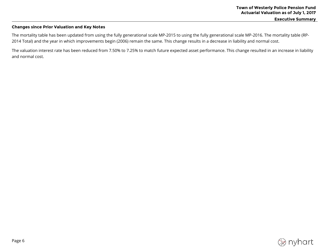**Executive Summary** 

# **Changes since Prior Valuation and Key Notes**

The mortality table has been updated from using the fully generational scale MP-2015 to using the fully generational scale MP-2016. The mortality table (RP-2014 Total) and the year in which improvements begin (2006) remain the same. This change results in a decrease in liability and normal cost.

The valuation interest rate has been reduced from 7.50% to 7.25% to match future expected asset performance. This change resulted in an increase in liability and normal cost.

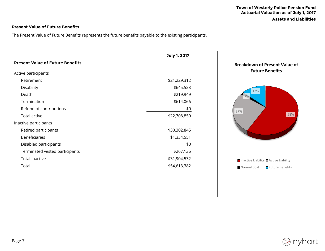# **Present Value of Future Benefits**

The Present Value of Future Benefits represents the future benefits payable to the existing participants.

|                                         | July 1, 2017 |   |
|-----------------------------------------|--------------|---|
| <b>Present Value of Future Benefits</b> |              | B |
| Active participants                     |              |   |
| Retirement                              | \$21,229,312 |   |
| Disability                              | \$645,523    |   |
| Death                                   | \$219,949    |   |
| Termination                             | \$614,066    |   |
| Refund of contributions                 | \$0          |   |
| Total active                            | \$22,708,850 |   |
| Inactive participants                   |              |   |
| Retired participants                    | \$30,302,845 |   |
| <b>Beneficiaries</b>                    | \$1,334,551  |   |
| Disabled participants                   | \$0          |   |
| Terminated vested participants          | \$267,136    |   |
| Total inactive                          | \$31,904,532 |   |
| Total                                   | \$54,613,382 |   |



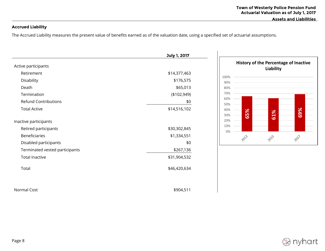# **Accrued Liability**

The Accrued Liability measures the present value of benefits earned as of the valuation date, using a specified set of actuarial assumptions.

|                                | July 1, 2017 |
|--------------------------------|--------------|
| Active participants            |              |
| Retirement                     | \$14,377,463 |
| Disability                     | \$176,575    |
| Death                          | \$65,013     |
| Termination                    | (\$102,949)  |
| <b>Refund Contributions</b>    | \$0          |
| <b>Total Active</b>            | \$14,516,102 |
| Inactive participants          |              |
| Retired participants           | \$30,302,845 |
| <b>Beneficiaries</b>           | \$1,334,551  |
| Disabled participants          | \$0          |
| Terminated vested participants | \$267,136    |
| <b>Total Inactive</b>          | \$31,904,532 |
| Total                          | \$46,420,634 |

Normal Cost \$904,511



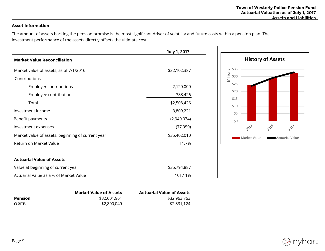# **Asset Information**

The amount of assets backing the pension promise is the most significant driver of volatility and future costs within a pension plan. The investment performance of the assets directly offsets the ultimate cost.

|                                                   | July 1, 2017 |
|---------------------------------------------------|--------------|
| <b>Market Value Reconciliation</b>                |              |
| Market value of assets, as of 7/1/2016            | \$32,102,387 |
| Contributions                                     |              |
| Employer contributions                            | 2,120,000    |
| Employee contributions                            | 388,426      |
| Total                                             | \$2,508,426  |
| Investment income                                 | 3,809,221    |
| Benefit payments                                  | (2,940,074)  |
| Investment expenses                               | (77, 950)    |
| Market value of assets, beginning of current year | \$35,402,010 |
| Return on Market Value                            | 11.7%        |
| <b>Actuarial Value of Assets</b>                  |              |
| Value at beginning of current year                | \$35,794,887 |
| Actuarial Value as a % of Market Value            | 101.11%      |



|             | <b>Market Value of Assets</b> | <b>Actuarial Value of Assets</b> |
|-------------|-------------------------------|----------------------------------|
| Pension     | \$32,601.961                  | \$32,963,763                     |
| <b>OPEB</b> | \$2,800,049                   | \$2,831,124                      |

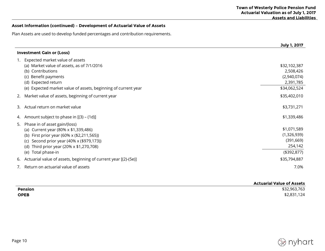# **Asset Information (continued) – Development of Actuarial Value of Assets**

Plan Assets are used to develop funded percentages and contribution requirements.

|            |                                                                                                                                                                                                                                             | July 1, 2017                                                       |
|------------|---------------------------------------------------------------------------------------------------------------------------------------------------------------------------------------------------------------------------------------------|--------------------------------------------------------------------|
|            | <b>Investment Gain or (Loss)</b>                                                                                                                                                                                                            |                                                                    |
|            | Expected market value of assets<br>(a) Market value of assets, as of 7/1/2016<br>(b) Contributions                                                                                                                                          | \$32,102,387<br>2,508,426                                          |
|            | (c) Benefit payments<br>(d) Expected return<br>(e) Expected market value of assets, beginning of current year                                                                                                                               | (2,940,074)<br>2,391,785<br>\$34,062,524                           |
| 2.         | Market value of assets, beginning of current year                                                                                                                                                                                           | \$35,402,010                                                       |
| 3.         | Actual return on market value                                                                                                                                                                                                               | \$3,731,271                                                        |
| 4.         | Amount subject to phase in [(3) – (1d)]                                                                                                                                                                                                     | \$1,339,486                                                        |
| 5.         | Phase in of asset gain/(loss)<br>(a) Current year (80% x \$1,339,486)<br>(b) First prior year (60% x (\$2,211,565))<br>Second prior year (40% x (\$979,173))<br>(C)<br>Third prior year (20% x \$1,270,708)<br>(d)<br>Total phase-in<br>(e) | \$1,071,589<br>(1,326,939)<br>(391, 669)<br>254,142<br>(\$392,877) |
| 6.         | Actuarial value of assets, beginning of current year [(2)-(5e)]                                                                                                                                                                             | \$35,794,887                                                       |
| $\sqrt{2}$ | Return on actuarial value of assets                                                                                                                                                                                                         | 7.0%                                                               |

|                | <b>Actuarial Value of Assets</b> |
|----------------|----------------------------------|
| <b>Pension</b> | \$32,963,763                     |
| <b>OPEB</b>    | \$2,831,124                      |

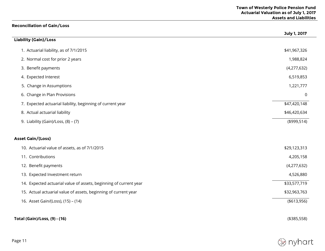$\overline{\phantom{0}}$ 

# **Reconciliation of Gain/Loss**

|                                                                   | July 1, 2017 |
|-------------------------------------------------------------------|--------------|
| <b>Liability (Gain)/Loss</b>                                      |              |
| 1. Actuarial liability, as of 7/1/2015                            | \$41,967,326 |
| 2. Normal cost for prior 2 years                                  | 1,988,824    |
| 3. Benefit payments                                               | (4,277,632)  |
| 4. Expected Interest                                              | 6,519,853    |
| 5. Change in Assumptions                                          | 1,221,777    |
| 6. Change in Plan Provisions                                      | 0            |
| 7. Expected actuarial liability, beginning of current year        | \$47,420,148 |
| 8. Actual actuarial liability                                     | \$46,420,634 |
| 9. Liability (Gain)/Loss, (8) - (7)                               | (4999, 514)  |
| <b>Asset Gain/(Loss)</b>                                          |              |
| 10. Actuarial value of assets, as of 7/1/2015                     | \$29,123,313 |
| 11. Contributions                                                 | 4,205,158    |
| 12. Benefit payments                                              | (4,277,632)  |
| 13. Expected Investment return                                    | 4,526,880    |
| 14. Expected actuarial value of assets, beginning of current year | \$33,577,719 |
| 15. Actual actuarial value of assets, beginning of current year   | \$32,963,763 |
| 16. Asset Gain/(Loss), (15) - (14)                                | (\$13,956)   |
| Total (Gain)/Loss, (9) - (16)                                     | (\$385,558)  |

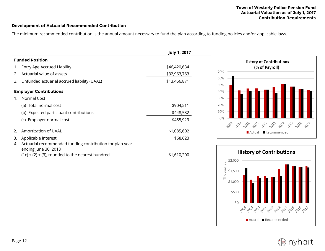# **Development of Actuarial Recommended Contribution**

The minimum recommended contribution is the annual amount necessary to fund the plan according to funding policies and/or applicable laws.

|                                                                                                                                               | <b>July 1, 2017</b> |                                               |
|-----------------------------------------------------------------------------------------------------------------------------------------------|---------------------|-----------------------------------------------|
| <b>Funded Position</b>                                                                                                                        |                     | <b>History of Contributions</b>               |
| 1. Entry Age Accrued Liability                                                                                                                | \$46,420,634        | (% of Payroll)                                |
| Actuarial value of assets<br>2.                                                                                                               | \$32,963,763        | 70%                                           |
| Unfunded actuarial accrued liability (UAAL)<br>3.                                                                                             | \$13,456,871        | 60%<br>50%                                    |
| <b>Employer Contributions</b>                                                                                                                 |                     | 40%                                           |
| Normal Cost                                                                                                                                   |                     | 30%                                           |
| (a) Total normal cost                                                                                                                         | \$904,511           | 20%                                           |
| (b) Expected participant contributions                                                                                                        | \$448,582           | 10%                                           |
| (c) Employer normal cost                                                                                                                      | \$455,929           | 0%<br>200 200 201 202 202 202 202 202 202 202 |
| Amortization of UAAL<br>2.                                                                                                                    | \$1,085,602         | ■ Recommended<br>■ Actual                     |
| Applicable interest<br>3.                                                                                                                     | \$68,623            |                                               |
| Actuarial recommended funding contribution for plan year<br>4.<br>ending June 30, 2018<br>$(1c) + (2) + (3)$ , rounded to the nearest hundred | \$1,610,200         | <b>History of Contributions</b><br>\$2,000    |



nyhart

Thousands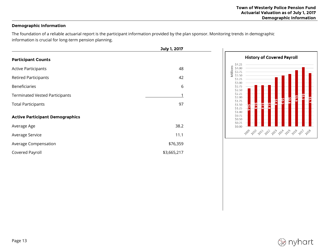# **Demographic Information**

The foundation of a reliable actuarial report is the participant information provided by the plan sponsor. Monitoring trends in demographic information is crucial for long-term pension planning.

|                                        | July 1, 2017 |  |
|----------------------------------------|--------------|--|
| <b>Participant Counts</b>              |              |  |
| <b>Active Participants</b>             | 48           |  |
| <b>Retired Participants</b>            | 42           |  |
| <b>Beneficiaries</b>                   | 6            |  |
| <b>Terminated Vested Participants</b>  |              |  |
| <b>Total Participants</b>              | 97           |  |
| <b>Active Participant Demographics</b> |              |  |
| Average Age                            | 38.2         |  |
| Average Service                        | 11.1         |  |
| Average Compensation                   | \$76,359     |  |
| Covered Payroll                        | \$3,665,217  |  |



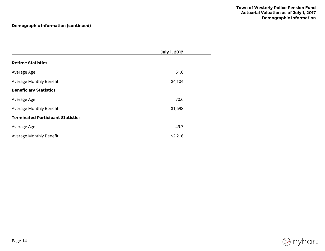# **Demographic Information (continued)**

|                                          | July 1, 2017 |  |
|------------------------------------------|--------------|--|
| <b>Retiree Statistics</b>                |              |  |
| Average Age                              | 61.0         |  |
| Average Monthly Benefit                  | \$4,104      |  |
| <b>Beneficiary Statistics</b>            |              |  |
| Average Age                              | 70.6         |  |
| Average Monthly Benefit                  | \$1,698      |  |
| <b>Terminated Participant Statistics</b> |              |  |
| Average Age                              | 49.3         |  |
| Average Monthly Benefit                  | \$2,216      |  |

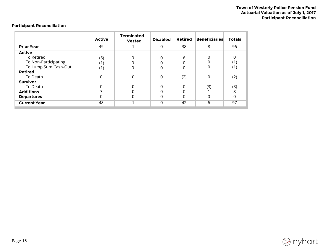# **Participant Reconciliation**

|                      | <b>Active</b> | <b>Terminated</b><br><b>Vested</b> | <b>Disabled</b> | Retired | <b>Beneficiaries</b> | <b>Totals</b> |
|----------------------|---------------|------------------------------------|-----------------|---------|----------------------|---------------|
| <b>Prior Year</b>    | 49            |                                    | $\Omega$        | 38      | 8                    | 96            |
| <b>Active</b>        |               |                                    |                 |         |                      |               |
| To Retired           | (6)           | 0                                  | 0               | 6       | 0                    |               |
| To Non-Participating | (1)           |                                    |                 |         | ი                    | (1)           |
| To Lump Sum Cash-Out | (1)           | $\Omega$                           | 0               | 0       | 0                    | (1)           |
| <b>Retired</b>       |               |                                    |                 |         |                      |               |
| To Death             | 0             | 0                                  | 0               | (2)     | 0                    | (2)           |
| <b>Survivor</b>      |               |                                    |                 |         |                      |               |
| To Death             |               |                                    | 0               | 0       | (3)                  | (3)           |
| <b>Additions</b>     |               |                                    |                 |         |                      | 8             |
| <b>Departures</b>    | O             |                                    |                 |         | 0                    | 0             |
| <b>Current Year</b>  | 48            |                                    | $\Omega$        | 42      | 6                    | 97            |

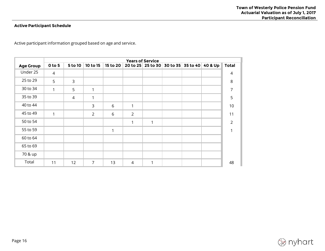# **Active Participant Schedule**

Active participant information grouped based on age and service.

|                  | <b>Years of Service</b> |                |                |          |                |   |                                     |         |               |
|------------------|-------------------------|----------------|----------------|----------|----------------|---|-------------------------------------|---------|---------------|
| <b>Age Group</b> | $0$ to 5                | 5 to 10        | 10 to 15       | 15 to 20 |                |   | 20 to 25 25 to 30 30 to 35 35 to 40 | 40 & Up | <b>Total</b>  |
| Under 25         | $\overline{4}$          |                |                |          |                |   |                                     |         | 4             |
| 25 to 29         | 5                       | $\mathsf{3}$   |                |          |                |   |                                     |         | 8             |
| 30 to 34         | 1                       | 5              | 1              |          |                |   |                                     |         | 7             |
| 35 to 39         |                         | $\overline{4}$ |                |          |                |   |                                     |         | 5             |
| 40 to 44         |                         |                | 3              | 6        | 1              |   |                                     |         | 10            |
| 45 to 49         | 1                       |                | $\overline{2}$ | 6        | $\overline{2}$ |   |                                     |         | 11            |
| 50 to 54         |                         |                |                |          | 1              | 1 |                                     |         | $\mathcal{P}$ |
| 55 to 59         |                         |                |                | 1        |                |   |                                     |         |               |
| 60 to 64         |                         |                |                |          |                |   |                                     |         |               |
| 65 to 69         |                         |                |                |          |                |   |                                     |         |               |
| 70 & up          |                         |                |                |          |                |   |                                     |         |               |
| Total            | 11                      | 12             | $\overline{7}$ | 13       | $\overline{4}$ | 1 |                                     |         | 48            |

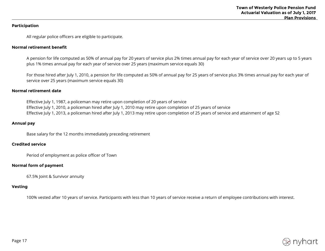# **Participation**

All regular police officers are eligible to participate.

### **Normal retirement benefit**

A pension for life computed as 50% of annual pay for 20 years of service plus 2% times annual pay for each year of service over 20 years up to 5 years plus 1% times annual pay for each year of service over 25 years (maximum service equals 30)

For those hired after July 1, 2010, a pension for life computed as 50% of annual pay for 25 years of service plus 3% times annual pay for each year of service over 25 years (maximum service equals 30)

#### **Normal retirement date**

Effective July 1, 1987, a policeman may retire upon completion of 20 years of service Effective July 1, 2010, a policeman hired after July 1, 2010 may retire upon completion of 25 years of service Effective July 1, 2013, a policeman hired after July 1, 2013 may retire upon completion of 25 years of service and attainment of age 52

#### **Annual pay**

Base salary for the 12 months immediately preceding retirement

#### **Credited service**

Period of employment as police officer of Town

### **Normal form of payment**

67.5% Joint & Survivor annuity

# **Vesting**

100% vested after 10 years of service. Participants with less than 10 years of service receive a return of employee contributions with interest.

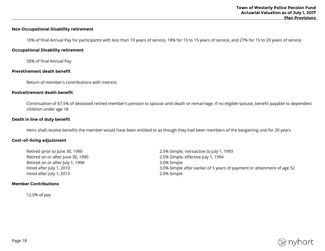# **Non Occupational Disability retirement**

10% of final Annual Pay for participants with less than 10 years of service, 18% for 10 to 15 years of service, and 27% for 15 to 20 years of service

#### **Occupational Disability retirement**

50% of final Annual Pay

#### **Preretirement death benefit**

Return of member's contributions with interest.

#### **Postretirement death benefit**

Continuation of 67.5% of deceased retired member's pension to spouse until death or remarriage. If no eligible spouse, benefit payable to dependent children under age 18

#### **Death in line of duty benefit**

Heirs shall receive benefits the member would have been entitled to as though they had been members of the bargaining unit for 20 years

#### **Cost-of-living adjustment**

Retired on or after July 1, 1998 3.0% Simple Hired after July 1, 2013 **2.0%** Simple

#### **Member Contributions**

12.0% of pay

Retired prior to June 30, 1990 2.5% Simple, retroactive to July 1, 1993 Retired on or after June 30, 1990 **2.5% Simple, effective July 1, 1994** Hired after July 1, 2010 3.0% Simple after earlier of 5 years of payment or attainment of age 52

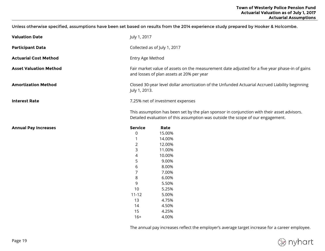Unless otherwise specified, assumptions have been set based on results from the 2014 experience study prepared by Hooker & Holcombe.

| <b>Valuation Date</b>         | July 1, 2017                                                                                                                                                                  |                |  |  |
|-------------------------------|-------------------------------------------------------------------------------------------------------------------------------------------------------------------------------|----------------|--|--|
| <b>Participant Data</b>       | Collected as of July 1, 2017                                                                                                                                                  |                |  |  |
| <b>Actuarial Cost Method</b>  | Entry Age Method                                                                                                                                                              |                |  |  |
| <b>Asset Valuation Method</b> | Fair market value of assets on the measurement date adjusted for a five year phase-in of gains<br>and losses of plan assets at 20% per year                                   |                |  |  |
| <b>Amortization Method</b>    | Closed 30-year level dollar amortization of the Unfunded Actuarial Accrued Liability beginning<br>July 1, 2013.                                                               |                |  |  |
| <b>Interest Rate</b>          | 7.25% net of investment expenses                                                                                                                                              |                |  |  |
|                               | This assumption has been set by the plan sponsor in conjunction with their asset advisors.<br>Detailed evaluation of this assumption was outside the scope of our engagement. |                |  |  |
| <b>Annual Pay Increases</b>   | <b>Service</b>                                                                                                                                                                | Rate           |  |  |
|                               | 0                                                                                                                                                                             | 15.00%         |  |  |
|                               |                                                                                                                                                                               | 14.00%         |  |  |
|                               | $\overline{2}$                                                                                                                                                                | 12.00%         |  |  |
|                               | 3                                                                                                                                                                             | 11.00%         |  |  |
|                               | 4                                                                                                                                                                             | 10.00%         |  |  |
|                               | 5                                                                                                                                                                             | 9.00%          |  |  |
|                               | 6                                                                                                                                                                             | 8.00%          |  |  |
|                               | 7                                                                                                                                                                             | 7.00%          |  |  |
|                               | 8                                                                                                                                                                             | 6.00%          |  |  |
|                               | 9                                                                                                                                                                             | 5.50%          |  |  |
|                               | 10                                                                                                                                                                            | 5.25%          |  |  |
|                               | $11 - 12$                                                                                                                                                                     | 5.00%          |  |  |
|                               | 13                                                                                                                                                                            | 4.75%          |  |  |
|                               | 14                                                                                                                                                                            | 4.50%          |  |  |
|                               |                                                                                                                                                                               |                |  |  |
|                               | 15<br>$16+$                                                                                                                                                                   | 4.25%<br>4.00% |  |  |

The annual pay increases reflect the employer's average target increase for a career employee.

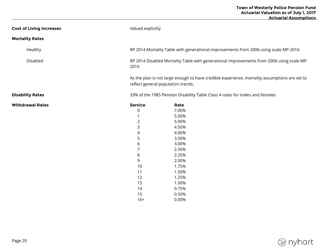| <b>Cost of Living Increases</b> | Valued explicitly |                                                                                                                                     |  |  |  |
|---------------------------------|-------------------|-------------------------------------------------------------------------------------------------------------------------------------|--|--|--|
| <b>Mortality Rates</b>          |                   |                                                                                                                                     |  |  |  |
| Healthy                         |                   | RP 2014 Mortality Table with generational improvements from 2006 using scale MP-2016                                                |  |  |  |
| Disabled                        | 2016              | RP 2014 Disabled Mortality Table with generational improvements from 2006 using scale MP-                                           |  |  |  |
|                                 |                   | As the plan is not large enough to have credible experience, mortality assumptions are set to<br>reflect general population trends. |  |  |  |
| <b>Disability Rates</b>         |                   | 33% of the 1985 Pension Disability Table Class 4 rates for males and females                                                        |  |  |  |
| <b>Withdrawal Rates</b>         | <b>Service</b>    | Rate                                                                                                                                |  |  |  |
|                                 | 0                 | 7.00%                                                                                                                               |  |  |  |
|                                 |                   | 5.50%                                                                                                                               |  |  |  |
|                                 | $\overline{2}$    | 5.00%                                                                                                                               |  |  |  |
|                                 | 3                 | 4.50%                                                                                                                               |  |  |  |
|                                 | $\overline{4}$    | 4.00%                                                                                                                               |  |  |  |
|                                 | 5                 | 3.50%                                                                                                                               |  |  |  |
|                                 | 6                 | 3.00%                                                                                                                               |  |  |  |
|                                 | 7                 | 2.50%                                                                                                                               |  |  |  |
|                                 | 8                 | 2.25%                                                                                                                               |  |  |  |
|                                 | 9                 | 2.00%                                                                                                                               |  |  |  |
|                                 | 10                | 1.75%                                                                                                                               |  |  |  |
|                                 | 11                | 1.50%                                                                                                                               |  |  |  |
|                                 | 12                | 1.25%                                                                                                                               |  |  |  |
|                                 | 13                | 1.00%                                                                                                                               |  |  |  |
|                                 | 14                | 0.75%                                                                                                                               |  |  |  |
|                                 | 15                | 0.50%                                                                                                                               |  |  |  |

16+ 0.00%

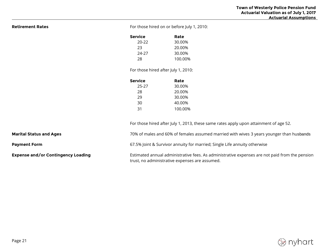**Retirement Rates** Retirement Rates **For those hired on or before July 1, 2010:** 

| Service | Rate    |
|---------|---------|
| 20-22   | 30.00%  |
| 23      | 20.00%  |
| 24-27   | 30.00%  |
| 28      | 100.00% |

For those hired after July 1, 2010:

| Service | Rate    |
|---------|---------|
| 25-27   | 30.00%  |
| 28      | 20.00%  |
| 29      | 30.00%  |
| 30      | 40.00%  |
| 31      | 100.00% |
|         |         |

trust, no administrative expenses are assumed.

For those hired after July 1, 2013, these same rates apply upon attainment of age 52.

**Marital Status and Ages 70 Marital Status and Ages** 3 years younger than husbands

**Payment Form Example 20 Alle 20 and 20 and 20 and 30 and 30 and 30 and 40 annuity for married; Single Life annuity otherwise** 

**Expense and/or Contingency Loading** Estimated annual administrative fees. As administrative expenses are not paid from the pension

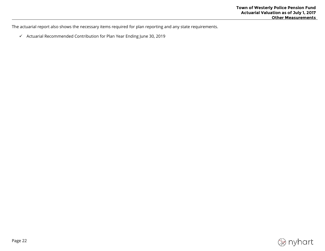The actuarial report also shows the necessary items required for plan reporting and any state requirements.

 $\checkmark$  Actuarial Recommended Contribution for Plan Year Ending June 30, 2019